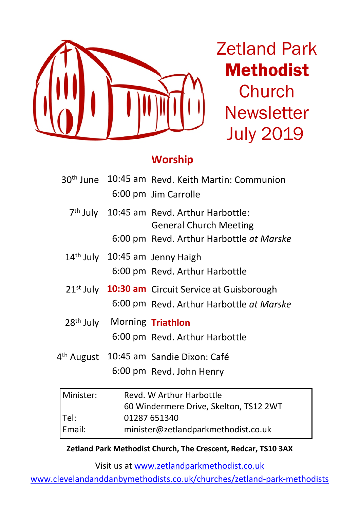

Zetland Park Methodist **Church Newsletter** July 2019

### **Worship**

|           |                                         | 30 <sup>th</sup> June 10:45 am Revd. Keith Martin: Communion<br>6:00 pm Jim Carrolle                                               |
|-----------|-----------------------------------------|------------------------------------------------------------------------------------------------------------------------------------|
|           |                                         | 7 <sup>th</sup> July 10:45 am Revd. Arthur Harbottle:<br><b>General Church Meeting</b><br>6:00 pm Revd. Arthur Harbottle at Marske |
|           |                                         | 14 <sup>th</sup> July 10:45 am Jenny Haigh<br>6:00 pm Revd. Arthur Harbottle                                                       |
|           |                                         | 21 <sup>st</sup> July 10:30 am Circuit Service at Guisborough<br>6:00 pm Revd. Arthur Harbottle at Marske                          |
|           | 28 <sup>th</sup> July Morning Triathlon | 6:00 pm Revd. Arthur Harbottle                                                                                                     |
|           |                                         | 4 <sup>th</sup> August 10:45 am Sandie Dixon: Café<br>6:00 pm Revd. John Henry                                                     |
| Minister: |                                         | Revd. W Arthur Harbottle                                                                                                           |

| Revd. W Arthur Harbottle               |  |  |
|----------------------------------------|--|--|
| 60 Windermere Drive, Skelton, TS12 2WT |  |  |
| 01287 651340                           |  |  |
| minister@zetlandparkmethodist.co.uk    |  |  |
|                                        |  |  |

**Zetland Park Methodist Church, The Crescent, Redcar, TS10 3AX**

Visit us at www.zetlandparkmethodist.co.uk

www.clevelandanddanbymethodists.co.uk/churches/zetland-park-methodists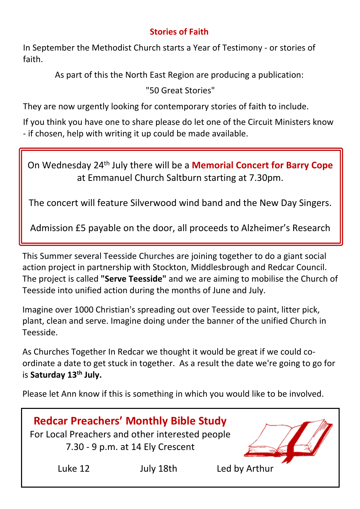#### **Stories of Faith**

In September the Methodist Church starts a Year of Testimony - or stories of faith.

As part of this the North East Region are producing a publication:

"50 Great Stories"

They are now urgently looking for contemporary stories of faith to include.

If you think you have one to share please do let one of the Circuit Ministers know - if chosen, help with writing it up could be made available.

On Wednesday 24th July there will be a **Memorial Concert for Barry Cope** at Emmanuel Church Saltburn starting at 7.30pm.

The concert will feature Silverwood wind band and the New Day Singers.

Admission £5 payable on the door, all proceeds to Alzheimer's Research

This Summer several Teesside Churches are joining together to do a giant social action project in partnership with Stockton, Middlesbrough and Redcar Council. The project is called **"Serve Teesside"** and we are aiming to mobilise the Church of Teesside into unified action during the months of June and July.

Imagine over 1000 Christian's spreading out over Teesside to paint, litter pick, plant, clean and serve. Imagine doing under the banner of the unified Church in Teesside.

As Churches Together In Redcar we thought it would be great if we could coordinate a date to get stuck in together. As a result the date we're going to go for is **Saturday 13th July.**

Please let Ann know if this is something in which you would like to be involved.

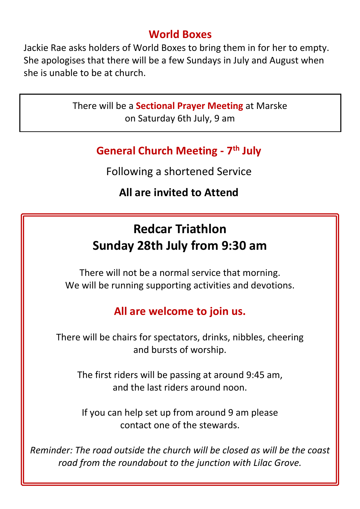### **World Boxes**

Jackie Rae asks holders of World Boxes to bring them in for her to empty. She apologises that there will be a few Sundays in July and August when she is unable to be at church.

> There will be a **Sectional Prayer Meeting** at Marske on Saturday 6th July, 9 am

### **General Church Meeting - 7th July**

Following a shortened Service

# **All are invited to Attend**

# **Redcar Triathlon Sunday 28th July from 9:30 am**

There will not be a normal service that morning. We will be running supporting activities and devotions.

# **All are welcome to join us.**

There will be chairs for spectators, drinks, nibbles, cheering and bursts of worship.

The first riders will be passing at around 9:45 am, and the last riders around noon.

If you can help set up from around 9 am please contact one of the stewards.

*Reminder: The road outside the church will be closed as will be the coast road from the roundabout to the junction with Lilac Grove.*